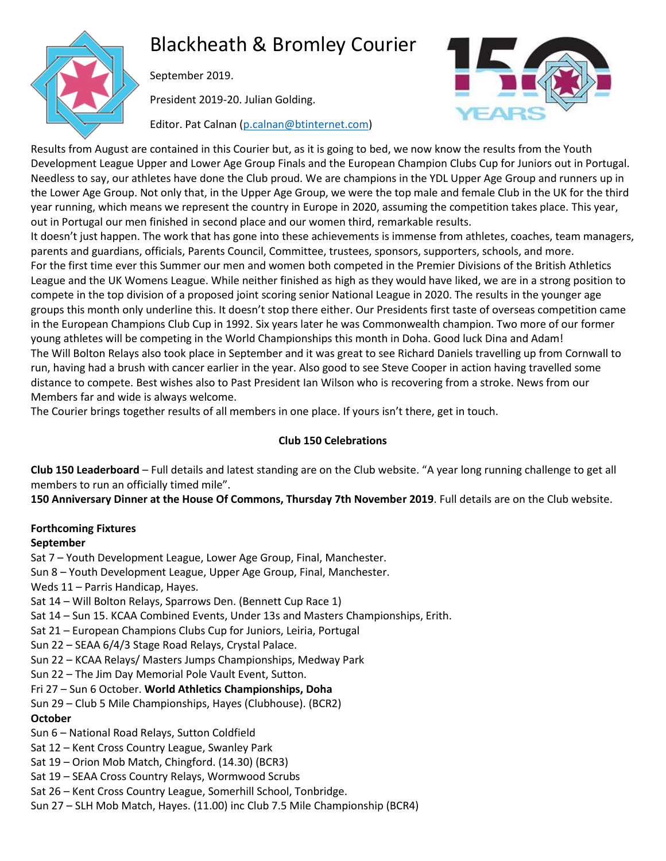# Blackheath & Bromley Courier



September 2019.

President 2019-20. Julian Golding.

Editor. Pat Calnan [\(p.calnan@btinternet.com\)](mailto:p.calnan@btinternet.com)



Results from August are contained in this Courier but, as it is going to bed, we now know the results from the Youth Development League Upper and Lower Age Group Finals and the European Champion Clubs Cup for Juniors out in Portugal. Needless to say, our athletes have done the Club proud. We are champions in the YDL Upper Age Group and runners up in the Lower Age Group. Not only that, in the Upper Age Group, we were the top male and female Club in the UK for the third year running, which means we represent the country in Europe in 2020, assuming the competition takes place. This year, out in Portugal our men finished in second place and our women third, remarkable results.

It doesn't just happen. The work that has gone into these achievements is immense from athletes, coaches, team managers, parents and guardians, officials, Parents Council, Committee, trustees, sponsors, supporters, schools, and more. For the first time ever this Summer our men and women both competed in the Premier Divisions of the British Athletics League and the UK Womens League. While neither finished as high as they would have liked, we are in a strong position to compete in the top division of a proposed joint scoring senior National League in 2020. The results in the younger age groups this month only underline this. It doesn't stop there either. Our Presidents first taste of overseas competition came in the European Champions Club Cup in 1992. Six years later he was Commonwealth champion. Two more of our former young athletes will be competing in the World Championships this month in Doha. Good luck Dina and Adam! The Will Bolton Relays also took place in September and it was great to see Richard Daniels travelling up from Cornwall to run, having had a brush with cancer earlier in the year. Also good to see Steve Cooper in action having travelled some distance to compete. Best wishes also to Past President Ian Wilson who is recovering from a stroke. News from our Members far and wide is always welcome.

The Courier brings together results of all members in one place. If yours isn't there, get in touch.

# **Club 150 Celebrations**

**Club 150 Leaderboard** – Full details and latest standing are on the Club website. "A year long running challenge to get all members to run an officially timed mile".

**150 Anniversary Dinner at the House Of Commons, Thursday 7th November 2019**. Full details are on the Club website.

# **Forthcoming Fixtures**

# **September**

Sat 7 – Youth Development League, Lower Age Group, Final, Manchester.

Sun 8 – Youth Development League, Upper Age Group, Final, Manchester.

Weds 11 – Parris Handicap, Hayes.

Sat 14 – Will Bolton Relays, Sparrows Den. (Bennett Cup Race 1)

Sat 14 – Sun 15. KCAA Combined Events, Under 13s and Masters Championships, Erith.

Sat 21 – European Champions Clubs Cup for Juniors, Leiria, Portugal

Sun 22 – SEAA 6/4/3 Stage Road Relays, Crystal Palace.

Sun 22 – KCAA Relays/ Masters Jumps Championships, Medway Park

Sun 22 – The Jim Day Memorial Pole Vault Event, Sutton.

Fri 27 – Sun 6 October. **World Athletics Championships, Doha**

Sun 29 – Club 5 Mile Championships, Hayes (Clubhouse). (BCR2)

# **October**

Sun 6 – National Road Relays, Sutton Coldfield

Sat 12 – Kent Cross Country League, Swanley Park

Sat 19 – Orion Mob Match, Chingford. (14.30) (BCR3)

Sat 19 – SEAA Cross Country Relays, Wormwood Scrubs

- Sat 26 Kent Cross Country League, Somerhill School, Tonbridge.
- Sun 27 SLH Mob Match, Hayes. (11.00) inc Club 7.5 Mile Championship (BCR4)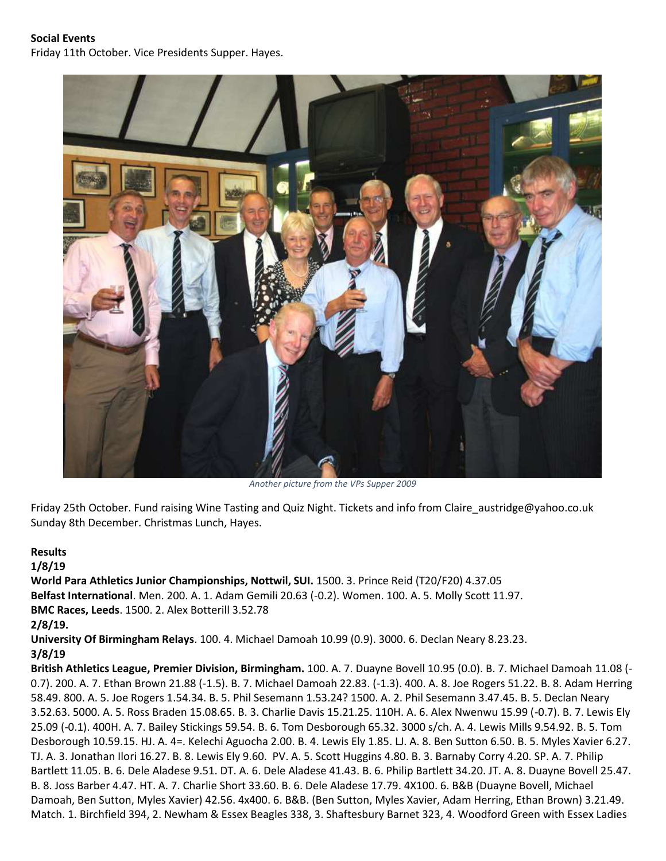#### **Social Events**

Friday 11th October. Vice Presidents Supper. Hayes.



*Another picture from the VPs Supper 2009*

Friday 25th October. Fund raising Wine Tasting and Quiz Night. Tickets and info from Claire\_austridge@yahoo.co.uk Sunday 8th December. Christmas Lunch, Hayes.

#### **Results**

#### **1/8/19**

**World Para Athletics Junior Championships, Nottwil, SUI.** 1500. 3. Prince Reid (T20/F20) 4.37.05 **Belfast International**. Men. 200. A. 1. Adam Gemili 20.63 (-0.2). Women. 100. A. 5. Molly Scott 11.97. **BMC Races, Leeds**. 1500. 2. Alex Botterill 3.52.78 **2/8/19.**

**University Of Birmingham Relays**. 100. 4. Michael Damoah 10.99 (0.9). 3000. 6. Declan Neary 8.23.23. **3/8/19**

**British Athletics League, Premier Division, Birmingham.** 100. A. 7. Duayne Bovell 10.95 (0.0). B. 7. Michael Damoah 11.08 (- 0.7). 200. A. 7. Ethan Brown 21.88 (-1.5). B. 7. Michael Damoah 22.83. (-1.3). 400. A. 8. Joe Rogers 51.22. B. 8. Adam Herring 58.49. 800. A. 5. Joe Rogers 1.54.34. B. 5. Phil Sesemann 1.53.24? 1500. A. 2. Phil Sesemann 3.47.45. B. 5. Declan Neary 3.52.63. 5000. A. 5. Ross Braden 15.08.65. B. 3. Charlie Davis 15.21.25. 110H. A. 6. Alex Nwenwu 15.99 (-0.7). B. 7. Lewis Ely 25.09 (-0.1). 400H. A. 7. Bailey Stickings 59.54. B. 6. Tom Desborough 65.32. 3000 s/ch. A. 4. Lewis Mills 9.54.92. B. 5. Tom Desborough 10.59.15. HJ. A. 4=. Kelechi Aguocha 2.00. B. 4. Lewis Ely 1.85. LJ. A. 8. Ben Sutton 6.50. B. 5. Myles Xavier 6.27. TJ. A. 3. Jonathan Ilori 16.27. B. 8. Lewis Ely 9.60. PV. A. 5. Scott Huggins 4.80. B. 3. Barnaby Corry 4.20. SP. A. 7. Philip Bartlett 11.05. B. 6. Dele Aladese 9.51. DT. A. 6. Dele Aladese 41.43. B. 6. Philip Bartlett 34.20. JT. A. 8. Duayne Bovell 25.47. B. 8. Joss Barber 4.47. HT. A. 7. Charlie Short 33.60. B. 6. Dele Aladese 17.79. 4X100. 6. B&B (Duayne Bovell, Michael Damoah, Ben Sutton, Myles Xavier) 42.56. 4x400. 6. B&B. (Ben Sutton, Myles Xavier, Adam Herring, Ethan Brown) 3.21.49. Match. 1. Birchfield 394, 2. Newham & Essex Beagles 338, 3. Shaftesbury Barnet 323, 4. Woodford Green with Essex Ladies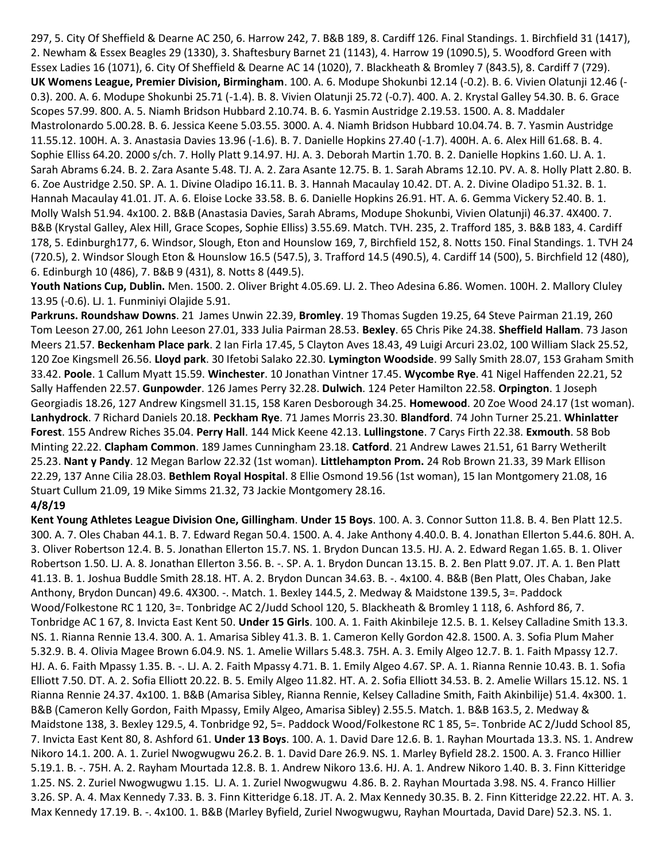297, 5. City Of Sheffield & Dearne AC 250, 6. Harrow 242, 7. B&B 189, 8. Cardiff 126. Final Standings. 1. Birchfield 31 (1417), 2. Newham & Essex Beagles 29 (1330), 3. Shaftesbury Barnet 21 (1143), 4. Harrow 19 (1090.5), 5. Woodford Green with Essex Ladies 16 (1071), 6. City Of Sheffield & Dearne AC 14 (1020), 7. Blackheath & Bromley 7 (843.5), 8. Cardiff 7 (729). **UK Womens League, Premier Division, Birmingham**. 100. A. 6. Modupe Shokunbi 12.14 (-0.2). B. 6. Vivien Olatunji 12.46 (- 0.3). 200. A. 6. Modupe Shokunbi 25.71 (-1.4). B. 8. Vivien Olatunji 25.72 (-0.7). 400. A. 2. Krystal Galley 54.30. B. 6. Grace Scopes 57.99. 800. A. 5. Niamh Bridson Hubbard 2.10.74. B. 6. Yasmin Austridge 2.19.53. 1500. A. 8. Maddaler Mastrolonardo 5.00.28. B. 6. Jessica Keene 5.03.55. 3000. A. 4. Niamh Bridson Hubbard 10.04.74. B. 7. Yasmin Austridge 11.55.12. 100H. A. 3. Anastasia Davies 13.96 (-1.6). B. 7. Danielle Hopkins 27.40 (-1.7). 400H. A. 6. Alex Hill 61.68. B. 4. Sophie Elliss 64.20. 2000 s/ch. 7. Holly Platt 9.14.97. HJ. A. 3. Deborah Martin 1.70. B. 2. Danielle Hopkins 1.60. LJ. A. 1. Sarah Abrams 6.24. B. 2. Zara Asante 5.48. TJ. A. 2. Zara Asante 12.75. B. 1. Sarah Abrams 12.10. PV. A. 8. Holly Platt 2.80. B. 6. Zoe Austridge 2.50. SP. A. 1. Divine Oladipo 16.11. B. 3. Hannah Macaulay 10.42. DT. A. 2. Divine Oladipo 51.32. B. 1. Hannah Macaulay 41.01. JT. A. 6. Eloise Locke 33.58. B. 6. Danielle Hopkins 26.91. HT. A. 6. Gemma Vickery 52.40. B. 1. Molly Walsh 51.94. 4x100. 2. B&B (Anastasia Davies, Sarah Abrams, Modupe Shokunbi, Vivien Olatunji) 46.37. 4X400. 7. B&B (Krystal Galley, Alex Hill, Grace Scopes, Sophie Elliss) 3.55.69. Match. TVH. 235, 2. Trafford 185, 3. B&B 183, 4. Cardiff 178, 5. Edinburgh177, 6. Windsor, Slough, Eton and Hounslow 169, 7, Birchfield 152, 8. Notts 150. Final Standings. 1. TVH 24 (720.5), 2. Windsor Slough Eton & Hounslow 16.5 (547.5), 3. Trafford 14.5 (490.5), 4. Cardiff 14 (500), 5. Birchfield 12 (480), 6. Edinburgh 10 (486), 7. B&B 9 (431), 8. Notts 8 (449.5).

**Youth Nations Cup, Dublin.** Men. 1500. 2. Oliver Bright 4.05.69. LJ. 2. Theo Adesina 6.86. Women. 100H. 2. Mallory Cluley 13.95 (-0.6). LJ. 1. Funminiyi Olajide 5.91.

**Parkruns. Roundshaw Downs**. 21 James Unwin 22.39, **Bromley**. 19 Thomas Sugden 19.25, 64 Steve Pairman 21.19, 260 Tom Leeson 27.00, 261 John Leeson 27.01, 333 Julia Pairman 28.53. **Bexley**. 65 Chris Pike 24.38. **Sheffield Hallam**. 73 Jason Meers 21.57. **Beckenham Place park**. 2 Ian Firla 17.45, 5 Clayton Aves 18.43, 49 Luigi Arcuri 23.02, 100 William Slack 25.52, 120 Zoe Kingsmell 26.56. **Lloyd park**. 30 Ifetobi Salako 22.30. **Lymington Woodside**. 99 Sally Smith 28.07, 153 Graham Smith 33.42. **Poole**. 1 Callum Myatt 15.59. **Winchester**. 10 Jonathan Vintner 17.45. **Wycombe Rye**. 41 Nigel Haffenden 22.21, 52 Sally Haffenden 22.57. **Gunpowder**. 126 James Perry 32.28. **Dulwich**. 124 Peter Hamilton 22.58. **Orpington**. 1 Joseph Georgiadis 18.26, 127 Andrew Kingsmell 31.15, 158 Karen Desborough 34.25. **Homewood**. 20 Zoe Wood 24.17 (1st woman). **Lanhydrock**. 7 Richard Daniels 20.18. **Peckham Rye**. 71 James Morris 23.30. **Blandford**. 74 John Turner 25.21. **Whinlatter Forest**. 155 Andrew Riches 35.04. **Perry Hall**. 144 Mick Keene 42.13. **Lullingstone**. 7 Carys Firth 22.38. **Exmouth**. 58 Bob Minting 22.22. **Clapham Common**. 189 James Cunningham 23.18. **Catford**. 21 Andrew Lawes 21.51, 61 Barry Wetherilt 25.23. **Nant y Pandy**. 12 Megan Barlow 22.32 (1st woman). **Littlehampton Prom.** 24 Rob Brown 21.33, 39 Mark Ellison 22.29, 137 Anne Cilia 28.03. **Bethlem Royal Hospital**. 8 Ellie Osmond 19.56 (1st woman), 15 Ian Montgomery 21.08, 16 Stuart Cullum 21.09, 19 Mike Simms 21.32, 73 Jackie Montgomery 28.16.

#### **4/8/19**

**Kent Young Athletes League Division One, Gillingham**. **Under 15 Boys**. 100. A. 3. Connor Sutton 11.8. B. 4. Ben Platt 12.5. 300. A. 7. Oles Chaban 44.1. B. 7. Edward Regan 50.4. 1500. A. 4. Jake Anthony 4.40.0. B. 4. Jonathan Ellerton 5.44.6. 80H. A. 3. Oliver Robertson 12.4. B. 5. Jonathan Ellerton 15.7. NS. 1. Brydon Duncan 13.5. HJ. A. 2. Edward Regan 1.65. B. 1. Oliver Robertson 1.50. LJ. A. 8. Jonathan Ellerton 3.56. B. -. SP. A. 1. Brydon Duncan 13.15. B. 2. Ben Platt 9.07. JT. A. 1. Ben Platt 41.13. B. 1. Joshua Buddle Smith 28.18. HT. A. 2. Brydon Duncan 34.63. B. -. 4x100. 4. B&B (Ben Platt, Oles Chaban, Jake Anthony, Brydon Duncan) 49.6. 4X300. -. Match. 1. Bexley 144.5, 2. Medway & Maidstone 139.5, 3=. Paddock Wood/Folkestone RC 1 120, 3=. Tonbridge AC 2/Judd School 120, 5. Blackheath & Bromley 1 118, 6. Ashford 86, 7. Tonbridge AC 1 67, 8. Invicta East Kent 50. **Under 15 Girls**. 100. A. 1. Faith Akinbileje 12.5. B. 1. Kelsey Calladine Smith 13.3. NS. 1. Rianna Rennie 13.4. 300. A. 1. Amarisa Sibley 41.3. B. 1. Cameron Kelly Gordon 42.8. 1500. A. 3. Sofia Plum Maher 5.32.9. B. 4. Olivia Magee Brown 6.04.9. NS. 1. Amelie Willars 5.48.3. 75H. A. 3. Emily Algeo 12.7. B. 1. Faith Mpassy 12.7. HJ. A. 6. Faith Mpassy 1.35. B. -. LJ. A. 2. Faith Mpassy 4.71. B. 1. Emily Algeo 4.67. SP. A. 1. Rianna Rennie 10.43. B. 1. Sofia Elliott 7.50. DT. A. 2. Sofia Elliott 20.22. B. 5. Emily Algeo 11.82. HT. A. 2. Sofia Elliott 34.53. B. 2. Amelie Willars 15.12. NS. 1 Rianna Rennie 24.37. 4x100. 1. B&B (Amarisa Sibley, Rianna Rennie, Kelsey Calladine Smith, Faith Akinbilije) 51.4. 4x300. 1. B&B (Cameron Kelly Gordon, Faith Mpassy, Emily Algeo, Amarisa Sibley) 2.55.5. Match. 1. B&B 163.5, 2. Medway & Maidstone 138, 3. Bexley 129.5, 4. Tonbridge 92, 5=. Paddock Wood/Folkestone RC 1 85, 5=. Tonbride AC 2/Judd School 85, 7. Invicta East Kent 80, 8. Ashford 61. **Under 13 Boys**. 100. A. 1. David Dare 12.6. B. 1. Rayhan Mourtada 13.3. NS. 1. Andrew Nikoro 14.1. 200. A. 1. Zuriel Nwogwugwu 26.2. B. 1. David Dare 26.9. NS. 1. Marley Byfield 28.2. 1500. A. 3. Franco Hillier 5.19.1. B. -. 75H. A. 2. Rayham Mourtada 12.8. B. 1. Andrew Nikoro 13.6. HJ. A. 1. Andrew Nikoro 1.40. B. 3. Finn Kitteridge 1.25. NS. 2. Zuriel Nwogwugwu 1.15. LJ. A. 1. Zuriel Nwogwugwu 4.86. B. 2. Rayhan Mourtada 3.98. NS. 4. Franco Hillier 3.26. SP. A. 4. Max Kennedy 7.33. B. 3. Finn Kitteridge 6.18. JT. A. 2. Max Kennedy 30.35. B. 2. Finn Kitteridge 22.22. HT. A. 3. Max Kennedy 17.19. B. -. 4x100. 1. B&B (Marley Byfield, Zuriel Nwogwugwu, Rayhan Mourtada, David Dare) 52.3. NS. 1.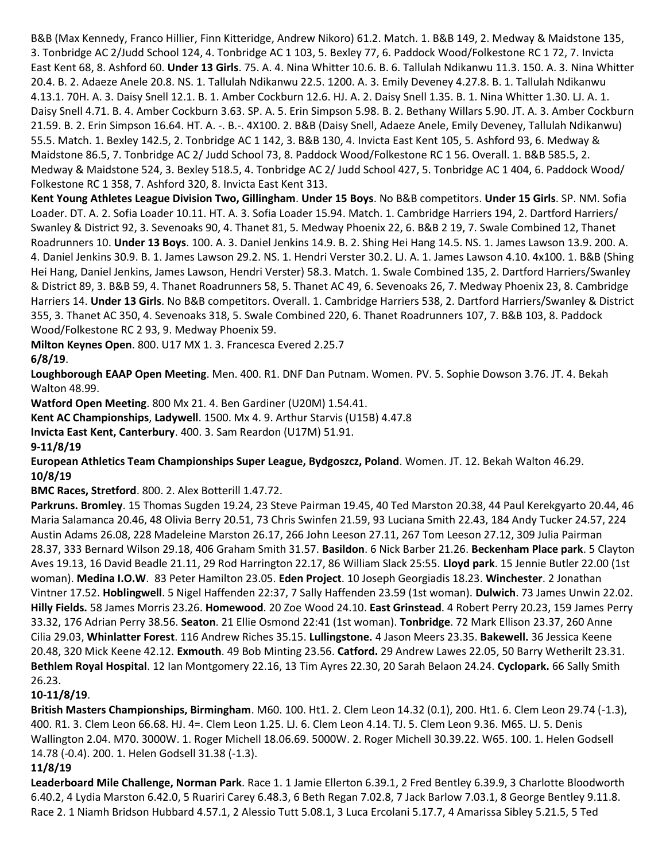B&B (Max Kennedy, Franco Hillier, Finn Kitteridge, Andrew Nikoro) 61.2. Match. 1. B&B 149, 2. Medway & Maidstone 135, 3. Tonbridge AC 2/Judd School 124, 4. Tonbridge AC 1 103, 5. Bexley 77, 6. Paddock Wood/Folkestone RC 1 72, 7. Invicta East Kent 68, 8. Ashford 60. **Under 13 Girls**. 75. A. 4. Nina Whitter 10.6. B. 6. Tallulah Ndikanwu 11.3. 150. A. 3. Nina Whitter 20.4. B. 2. Adaeze Anele 20.8. NS. 1. Tallulah Ndikanwu 22.5. 1200. A. 3. Emily Deveney 4.27.8. B. 1. Tallulah Ndikanwu 4.13.1. 70H. A. 3. Daisy Snell 12.1. B. 1. Amber Cockburn 12.6. HJ. A. 2. Daisy Snell 1.35. B. 1. Nina Whitter 1.30. LJ. A. 1. Daisy Snell 4.71. B. 4. Amber Cockburn 3.63. SP. A. 5. Erin Simpson 5.98. B. 2. Bethany Willars 5.90. JT. A. 3. Amber Cockburn 21.59. B. 2. Erin Simpson 16.64. HT. A. -. B.-. 4X100. 2. B&B (Daisy Snell, Adaeze Anele, Emily Deveney, Tallulah Ndikanwu) 55.5. Match. 1. Bexley 142.5, 2. Tonbridge AC 1 142, 3. B&B 130, 4. Invicta East Kent 105, 5. Ashford 93, 6. Medway & Maidstone 86.5, 7. Tonbridge AC 2/ Judd School 73, 8. Paddock Wood/Folkestone RC 1 56. Overall. 1. B&B 585.5, 2. Medway & Maidstone 524, 3. Bexley 518.5, 4. Tonbridge AC 2/ Judd School 427, 5. Tonbridge AC 1 404, 6. Paddock Wood/ Folkestone RC 1 358, 7. Ashford 320, 8. Invicta East Kent 313.

**Kent Young Athletes League Division Two, Gillingham**. **Under 15 Boys**. No B&B competitors. **Under 15 Girls**. SP. NM. Sofia Loader. DT. A. 2. Sofia Loader 10.11. HT. A. 3. Sofia Loader 15.94. Match. 1. Cambridge Harriers 194, 2. Dartford Harriers/ Swanley & District 92, 3. Sevenoaks 90, 4. Thanet 81, 5. Medway Phoenix 22, 6. B&B 2 19, 7. Swale Combined 12, Thanet Roadrunners 10. **Under 13 Boys**. 100. A. 3. Daniel Jenkins 14.9. B. 2. Shing Hei Hang 14.5. NS. 1. James Lawson 13.9. 200. A. 4. Daniel Jenkins 30.9. B. 1. James Lawson 29.2. NS. 1. Hendri Verster 30.2. LJ. A. 1. James Lawson 4.10. 4x100. 1. B&B (Shing Hei Hang, Daniel Jenkins, James Lawson, Hendri Verster) 58.3. Match. 1. Swale Combined 135, 2. Dartford Harriers/Swanley & District 89, 3. B&B 59, 4. Thanet Roadrunners 58, 5. Thanet AC 49, 6. Sevenoaks 26, 7. Medway Phoenix 23, 8. Cambridge Harriers 14. **Under 13 Girls**. No B&B competitors. Overall. 1. Cambridge Harriers 538, 2. Dartford Harriers/Swanley & District 355, 3. Thanet AC 350, 4. Sevenoaks 318, 5. Swale Combined 220, 6. Thanet Roadrunners 107, 7. B&B 103, 8. Paddock Wood/Folkestone RC 2 93, 9. Medway Phoenix 59.

**Milton Keynes Open**. 800. U17 MX 1. 3. Francesca Evered 2.25.7 **6/8/19**.

**Loughborough EAAP Open Meeting**. Men. 400. R1. DNF Dan Putnam. Women. PV. 5. Sophie Dowson 3.76. JT. 4. Bekah Walton 48.99.

**Watford Open Meeting**. 800 Mx 21. 4. Ben Gardiner (U20M) 1.54.41.

**Kent AC Championships**, **Ladywell**. 1500. Mx 4. 9. Arthur Starvis (U15B) 4.47.8

**Invicta East Kent, Canterbury**. 400. 3. Sam Reardon (U17M) 51.91.

**9-11/8/19**

**European Athletics Team Championships Super League, Bydgoszcz, Poland**. Women. JT. 12. Bekah Walton 46.29. **10/8/19**

**BMC Races, Stretford**. 800. 2. Alex Botterill 1.47.72.

**Parkruns. Bromley**. 15 Thomas Sugden 19.24, 23 Steve Pairman 19.45, 40 Ted Marston 20.38, 44 Paul Kerekgyarto 20.44, 46 Maria Salamanca 20.46, 48 Olivia Berry 20.51, 73 Chris Swinfen 21.59, 93 Luciana Smith 22.43, 184 Andy Tucker 24.57, 224 Austin Adams 26.08, 228 Madeleine Marston 26.17, 266 John Leeson 27.11, 267 Tom Leeson 27.12, 309 Julia Pairman 28.37, 333 Bernard Wilson 29.18, 406 Graham Smith 31.57. **Basildon**. 6 Nick Barber 21.26. **Beckenham Place park**. 5 Clayton Aves 19.13, 16 David Beadle 21.11, 29 Rod Harrington 22.17, 86 William Slack 25:55. **Lloyd park**. 15 Jennie Butler 22.00 (1st woman). **Medina I.O.W**. 83 Peter Hamilton 23.05. **Eden Project**. 10 Joseph Georgiadis 18.23. **Winchester**. 2 Jonathan Vintner 17.52. **Hoblingwell**. 5 Nigel Haffenden 22:37, 7 Sally Haffenden 23.59 (1st woman). **Dulwich**. 73 James Unwin 22.02. **Hilly Fields.** 58 James Morris 23.26. **Homewood**. 20 Zoe Wood 24.10. **East Grinstead**. 4 Robert Perry 20.23, 159 James Perry 33.32, 176 Adrian Perry 38.56. **Seaton**. 21 Ellie Osmond 22:41 (1st woman). **Tonbridge**. 72 Mark Ellison 23.37, 260 Anne Cilia 29.03, **Whinlatter Forest**. 116 Andrew Riches 35.15. **Lullingstone.** 4 Jason Meers 23.35. **Bakewell.** 36 Jessica Keene 20.48, 320 Mick Keene 42.12. **Exmouth**. 49 Bob Minting 23.56. **Catford.** 29 Andrew Lawes 22.05, 50 Barry Wetherilt 23.31. **Bethlem Royal Hospital**. 12 Ian Montgomery 22.16, 13 Tim Ayres 22.30, 20 Sarah Belaon 24.24. **Cyclopark.** 66 Sally Smith 26.23.

# **10-11/8/19**.

**British Masters Championships, Birmingham**. M60. 100. Ht1. 2. Clem Leon 14.32 (0.1), 200. Ht1. 6. Clem Leon 29.74 (-1.3), 400. R1. 3. Clem Leon 66.68. HJ. 4=. Clem Leon 1.25. LJ. 6. Clem Leon 4.14. TJ. 5. Clem Leon 9.36. M65. LJ. 5. Denis Wallington 2.04. M70. 3000W. 1. Roger Michell 18.06.69. 5000W. 2. Roger Michell 30.39.22. W65. 100. 1. Helen Godsell 14.78 (-0.4). 200. 1. Helen Godsell 31.38 (-1.3).

# **11/8/19**

**Leaderboard Mile Challenge, Norman Park**. Race 1. 1 Jamie Ellerton 6.39.1, 2 Fred Bentley 6.39.9, 3 Charlotte Bloodworth 6.40.2, 4 Lydia Marston 6.42.0, 5 Ruariri Carey 6.48.3, 6 Beth Regan 7.02.8, 7 Jack Barlow 7.03.1, 8 George Bentley 9.11.8. Race 2. 1 Niamh Bridson Hubbard 4.57.1, 2 Alessio Tutt 5.08.1, 3 Luca Ercolani 5.17.7, 4 Amarissa Sibley 5.21.5, 5 Ted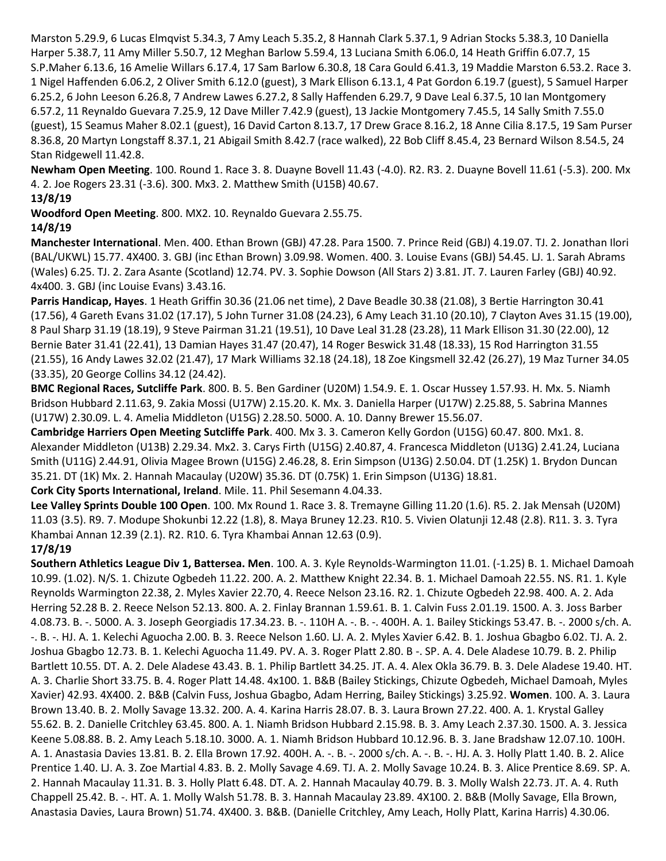Marston 5.29.9, 6 Lucas Elmqvist 5.34.3, 7 Amy Leach 5.35.2, 8 Hannah Clark 5.37.1, 9 Adrian Stocks 5.38.3, 10 Daniella Harper 5.38.7, 11 Amy Miller 5.50.7, 12 Meghan Barlow 5.59.4, 13 Luciana Smith 6.06.0, 14 Heath Griffin 6.07.7, 15 S.P.Maher 6.13.6, 16 Amelie Willars 6.17.4, 17 Sam Barlow 6.30.8, 18 Cara Gould 6.41.3, 19 Maddie Marston 6.53.2. Race 3. 1 Nigel Haffenden 6.06.2, 2 Oliver Smith 6.12.0 (guest), 3 Mark Ellison 6.13.1, 4 Pat Gordon 6.19.7 (guest), 5 Samuel Harper 6.25.2, 6 John Leeson 6.26.8, 7 Andrew Lawes 6.27.2, 8 Sally Haffenden 6.29.7, 9 Dave Leal 6.37.5, 10 Ian Montgomery 6.57.2, 11 Reynaldo Guevara 7.25.9, 12 Dave Miller 7.42.9 (guest), 13 Jackie Montgomery 7.45.5, 14 Sally Smith 7.55.0 (guest), 15 Seamus Maher 8.02.1 (guest), 16 David Carton 8.13.7, 17 Drew Grace 8.16.2, 18 Anne Cilia 8.17.5, 19 Sam Purser 8.36.8, 20 Martyn Longstaff 8.37.1, 21 Abigail Smith 8.42.7 (race walked), 22 Bob Cliff 8.45.4, 23 Bernard Wilson 8.54.5, 24 Stan Ridgewell 11.42.8.

**Newham Open Meeting**. 100. Round 1. Race 3. 8. Duayne Bovell 11.43 (-4.0). R2. R3. 2. Duayne Bovell 11.61 (-5.3). 200. Mx 4. 2. Joe Rogers 23.31 (-3.6). 300. Mx3. 2. Matthew Smith (U15B) 40.67.

#### **13/8/19**

**Woodford Open Meeting**. 800. MX2. 10. Reynaldo Guevara 2.55.75.

# **14/8/19**

**Manchester International**. Men. 400. Ethan Brown (GBJ) 47.28. Para 1500. 7. Prince Reid (GBJ) 4.19.07. TJ. 2. Jonathan Ilori (BAL/UKWL) 15.77. 4X400. 3. GBJ (inc Ethan Brown) 3.09.98. Women. 400. 3. Louise Evans (GBJ) 54.45. LJ. 1. Sarah Abrams (Wales) 6.25. TJ. 2. Zara Asante (Scotland) 12.74. PV. 3. Sophie Dowson (All Stars 2) 3.81. JT. 7. Lauren Farley (GBJ) 40.92. 4x400. 3. GBJ (inc Louise Evans) 3.43.16.

**Parris Handicap, Hayes**. 1 Heath Griffin 30.36 (21.06 net time), 2 Dave Beadle 30.38 (21.08), 3 Bertie Harrington 30.41 (17.56), 4 Gareth Evans 31.02 (17.17), 5 John Turner 31.08 (24.23), 6 Amy Leach 31.10 (20.10), 7 Clayton Aves 31.15 (19.00), 8 Paul Sharp 31.19 (18.19), 9 Steve Pairman 31.21 (19.51), 10 Dave Leal 31.28 (23.28), 11 Mark Ellison 31.30 (22.00), 12 Bernie Bater 31.41 (22.41), 13 Damian Hayes 31.47 (20.47), 14 Roger Beswick 31.48 (18.33), 15 Rod Harrington 31.55 (21.55), 16 Andy Lawes 32.02 (21.47), 17 Mark Williams 32.18 (24.18), 18 Zoe Kingsmell 32.42 (26.27), 19 Maz Turner 34.05 (33.35), 20 George Collins 34.12 (24.42).

**BMC Regional Races, Sutcliffe Park**. 800. B. 5. Ben Gardiner (U20M) 1.54.9. E. 1. Oscar Hussey 1.57.93. H. Mx. 5. Niamh Bridson Hubbard 2.11.63, 9. Zakia Mossi (U17W) 2.15.20. K. Mx. 3. Daniella Harper (U17W) 2.25.88, 5. Sabrina Mannes (U17W) 2.30.09. L. 4. Amelia Middleton (U15G) 2.28.50. 5000. A. 10. Danny Brewer 15.56.07.

**Cambridge Harriers Open Meeting Sutcliffe Park**. 400. Mx 3. 3. Cameron Kelly Gordon (U15G) 60.47. 800. Mx1. 8. Alexander Middleton (U13B) 2.29.34. Mx2. 3. Carys Firth (U15G) 2.40.87, 4. Francesca Middleton (U13G) 2.41.24, Luciana Smith (U11G) 2.44.91, Olivia Magee Brown (U15G) 2.46.28, 8. Erin Simpson (U13G) 2.50.04. DT (1.25K) 1. Brydon Duncan 35.21. DT (1K) Mx. 2. Hannah Macaulay (U20W) 35.36. DT (0.75K) 1. Erin Simpson (U13G) 18.81.

**Cork City Sports International, Ireland**. Mile. 11. Phil Sesemann 4.04.33.

**Lee Valley Sprints Double 100 Open**. 100. Mx Round 1. Race 3. 8. Tremayne Gilling 11.20 (1.6). R5. 2. Jak Mensah (U20M) 11.03 (3.5). R9. 7. Modupe Shokunbi 12.22 (1.8), 8. Maya Bruney 12.23. R10. 5. Vivien Olatunji 12.48 (2.8). R11. 3. 3. Tyra Khambai Annan 12.39 (2.1). R2. R10. 6. Tyra Khambai Annan 12.63 (0.9).

# **17/8/19**

**Southern Athletics League Div 1, Battersea. Men**. 100. A. 3. Kyle Reynolds-Warmington 11.01. (-1.25) B. 1. Michael Damoah 10.99. (1.02). N/S. 1. Chizute Ogbedeh 11.22. 200. A. 2. Matthew Knight 22.34. B. 1. Michael Damoah 22.55. NS. R1. 1. Kyle Reynolds Warmington 22.38, 2. Myles Xavier 22.70, 4. Reece Nelson 23.16. R2. 1. Chizute Ogbedeh 22.98. 400. A. 2. Ada Herring 52.28 B. 2. Reece Nelson 52.13. 800. A. 2. Finlay Brannan 1.59.61. B. 1. Calvin Fuss 2.01.19. 1500. A. 3. Joss Barber 4.08.73. B. -. 5000. A. 3. Joseph Georgiadis 17.34.23. B. -. 110H A. -. B. -. 400H. A. 1. Bailey Stickings 53.47. B. -. 2000 s/ch. A. -. B. -. HJ. A. 1. Kelechi Aguocha 2.00. B. 3. Reece Nelson 1.60. LJ. A. 2. Myles Xavier 6.42. B. 1. Joshua Gbagbo 6.02. TJ. A. 2. Joshua Gbagbo 12.73. B. 1. Kelechi Aguocha 11.49. PV. A. 3. Roger Platt 2.80. B -. SP. A. 4. Dele Aladese 10.79. B. 2. Philip Bartlett 10.55. DT. A. 2. Dele Aladese 43.43. B. 1. Philip Bartlett 34.25. JT. A. 4. Alex Okla 36.79. B. 3. Dele Aladese 19.40. HT. A. 3. Charlie Short 33.75. B. 4. Roger Platt 14.48. 4x100. 1. B&B (Bailey Stickings, Chizute Ogbedeh, Michael Damoah, Myles Xavier) 42.93. 4X400. 2. B&B (Calvin Fuss, Joshua Gbagbo, Adam Herring, Bailey Stickings) 3.25.92. **Women**. 100. A. 3. Laura Brown 13.40. B. 2. Molly Savage 13.32. 200. A. 4. Karina Harris 28.07. B. 3. Laura Brown 27.22. 400. A. 1. Krystal Galley 55.62. B. 2. Danielle Critchley 63.45. 800. A. 1. Niamh Bridson Hubbard 2.15.98. B. 3. Amy Leach 2.37.30. 1500. A. 3. Jessica Keene 5.08.88. B. 2. Amy Leach 5.18.10. 3000. A. 1. Niamh Bridson Hubbard 10.12.96. B. 3. Jane Bradshaw 12.07.10. 100H. A. 1. Anastasia Davies 13.81. B. 2. Ella Brown 17.92. 400H. A. -. B. -. 2000 s/ch. A. -. B. -. HJ. A. 3. Holly Platt 1.40. B. 2. Alice Prentice 1.40. LJ. A. 3. Zoe Martial 4.83. B. 2. Molly Savage 4.69. TJ. A. 2. Molly Savage 10.24. B. 3. Alice Prentice 8.69. SP. A. 2. Hannah Macaulay 11.31. B. 3. Holly Platt 6.48. DT. A. 2. Hannah Macaulay 40.79. B. 3. Molly Walsh 22.73. JT. A. 4. Ruth Chappell 25.42. B. -. HT. A. 1. Molly Walsh 51.78. B. 3. Hannah Macaulay 23.89. 4X100. 2. B&B (Molly Savage, Ella Brown, Anastasia Davies, Laura Brown) 51.74. 4X400. 3. B&B. (Danielle Critchley, Amy Leach, Holly Platt, Karina Harris) 4.30.06.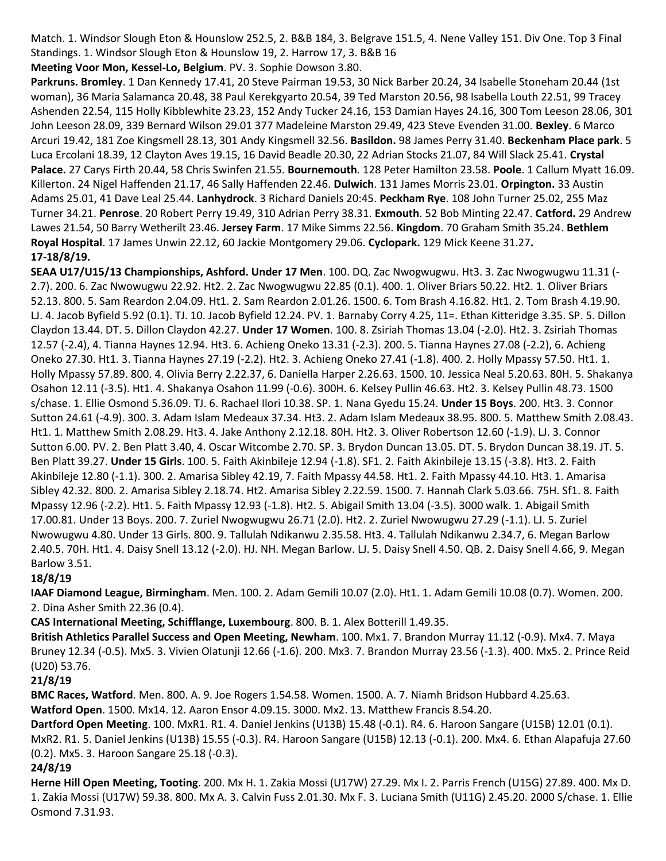Match. 1. Windsor Slough Eton & Hounslow 252.5, 2. B&B 184, 3. Belgrave 151.5, 4. Nene Valley 151. Div One. Top 3 Final Standings. 1. Windsor Slough Eton & Hounslow 19, 2. Harrow 17, 3. B&B 16

**Meeting Voor Mon, Kessel-Lo, Belgium**. PV. 3. Sophie Dowson 3.80. **Parkruns. Bromley**. 1 Dan Kennedy 17.41, 20 Steve Pairman 19.53, 30 Nick Barber 20.24, 34 Isabelle Stoneham 20.44 (1st woman), 36 Maria Salamanca 20.48, 38 Paul Kerekgyarto 20.54, 39 Ted Marston 20.56, 98 Isabella Louth 22.51, 99 Tracey Ashenden 22.54, 115 Holly Kibblewhite 23.23, 152 Andy Tucker 24.16, 153 Damian Hayes 24.16, 300 Tom Leeson 28.06, 301 John Leeson 28.09, 339 Bernard Wilson 29.01 377 Madeleine Marston 29.49, 423 Steve Evenden 31.00. **Bexley**. 6 Marco Arcuri 19.42, 181 Zoe Kingsmell 28.13, 301 Andy Kingsmell 32.56. **Basildon.** 98 James Perry 31.40. **Beckenham Place park**. 5 Luca Ercolani 18.39, 12 Clayton Aves 19.15, 16 David Beadle 20.30, 22 Adrian Stocks 21.07, 84 Will Slack 25.41. **Crystal Palace.** 27 Carys Firth 20.44, 58 Chris Swinfen 21.55. **Bournemouth**. 128 Peter Hamilton 23.58. **Poole**. 1 Callum Myatt 16.09. Killerton. 24 Nigel Haffenden 21.17, 46 Sally Haffenden 22.46. **Dulwich**. 131 James Morris 23.01. **Orpington.** 33 Austin Adams 25.01, 41 Dave Leal 25.44. **Lanhydrock**. 3 Richard Daniels 20:45. **Peckham Rye**. 108 John Turner 25.02, 255 Maz Turner 34.21. **Penrose**. 20 Robert Perry 19.49, 310 Adrian Perry 38.31. **Exmouth**. 52 Bob Minting 22.47. **Catford.** 29 Andrew Lawes 21.54, 50 Barry Wetherilt 23.46. **Jersey Farm**. 17 Mike Simms 22.56. **Kingdom**. 70 Graham Smith 35.24. **Bethlem Royal Hospital**. 17 James Unwin 22.12, 60 Jackie Montgomery 29.06. **Cyclopark.** 129 Mick Keene 31.27**.**

# **17-18/8/19.**

**SEAA U17/U15/13 Championships, Ashford. Under 17 Men**. 100. DQ. Zac Nwogwugwu. Ht3. 3. Zac Nwogwugwu 11.31 (- 2.7). 200. 6. Zac Nwowugwu 22.92. Ht2. 2. Zac Nwogwugwu 22.85 (0.1). 400. 1. Oliver Briars 50.22. Ht2. 1. Oliver Briars 52.13. 800. 5. Sam Reardon 2.04.09. Ht1. 2. Sam Reardon 2.01.26. 1500. 6. Tom Brash 4.16.82. Ht1. 2. Tom Brash 4.19.90. LJ. 4. Jacob Byfield 5.92 (0.1). TJ. 10. Jacob Byfield 12.24. PV. 1. Barnaby Corry 4.25, 11=. Ethan Kitteridge 3.35. SP. 5. Dillon Claydon 13.44. DT. 5. Dillon Claydon 42.27. **Under 17 Women**. 100. 8. Zsiriah Thomas 13.04 (-2.0). Ht2. 3. Zsiriah Thomas 12.57 (-2.4), 4. Tianna Haynes 12.94. Ht3. 6. Achieng Oneko 13.31 (-2.3). 200. 5. Tianna Haynes 27.08 (-2.2), 6. Achieng Oneko 27.30. Ht1. 3. Tianna Haynes 27.19 (-2.2). Ht2. 3. Achieng Oneko 27.41 (-1.8). 400. 2. Holly Mpassy 57.50. Ht1. 1. Holly Mpassy 57.89. 800. 4. Olivia Berry 2.22.37, 6. Daniella Harper 2.26.63. 1500. 10. Jessica Neal 5.20.63. 80H. 5. Shakanya Osahon 12.11 (-3.5). Ht1. 4. Shakanya Osahon 11.99 (-0.6). 300H. 6. Kelsey Pullin 46.63. Ht2. 3. Kelsey Pullin 48.73. 1500 s/chase. 1. Ellie Osmond 5.36.09. TJ. 6. Rachael Ilori 10.38. SP. 1. Nana Gyedu 15.24. **Under 15 Boys**. 200. Ht3. 3. Connor Sutton 24.61 (-4.9). 300. 3. Adam Islam Medeaux 37.34. Ht3. 2. Adam Islam Medeaux 38.95. 800. 5. Matthew Smith 2.08.43. Ht1. 1. Matthew Smith 2.08.29. Ht3. 4. Jake Anthony 2.12.18. 80H. Ht2. 3. Oliver Robertson 12.60 (-1.9). LJ. 3. Connor Sutton 6.00. PV. 2. Ben Platt 3.40, 4. Oscar Witcombe 2.70. SP. 3. Brydon Duncan 13.05. DT. 5. Brydon Duncan 38.19. JT. 5. Ben Platt 39.27. **Under 15 Girls**. 100. 5. Faith Akinbileje 12.94 (-1.8). SF1. 2. Faith Akinbileje 13.15 (-3.8). Ht3. 2. Faith Akinbileje 12.80 (-1.1). 300. 2. Amarisa Sibley 42.19, 7. Faith Mpassy 44.58. Ht1. 2. Faith Mpassy 44.10. Ht3. 1. Amarisa Sibley 42.32. 800. 2. Amarisa Sibley 2.18.74. Ht2. Amarisa Sibley 2.22.59. 1500. 7. Hannah Clark 5.03.66. 75H. Sf1. 8. Faith Mpassy 12.96 (-2.2). Ht1. 5. Faith Mpassy 12.93 (-1.8). Ht2. 5. Abigail Smith 13.04 (-3.5). 3000 walk. 1. Abigail Smith 17.00.81. Under 13 Boys. 200. 7. Zuriel Nwogwugwu 26.71 (2.0). Ht2. 2. Zuriel Nwowugwu 27.29 (-1.1). LJ. 5. Zuriel Nwowugwu 4.80. Under 13 Girls. 800. 9. Tallulah Ndikanwu 2.35.58. Ht3. 4. Tallulah Ndikanwu 2.34.7, 6. Megan Barlow 2.40.5. 70H. Ht1. 4. Daisy Snell 13.12 (-2.0). HJ. NH. Megan Barlow. LJ. 5. Daisy Snell 4.50. QB. 2. Daisy Snell 4.66, 9. Megan Barlow 3.51.

# **18/8/19**

**IAAF Diamond League, Birmingham**. Men. 100. 2. Adam Gemili 10.07 (2.0). Ht1. 1. Adam Gemili 10.08 (0.7). Women. 200. 2. Dina Asher Smith 22.36 (0.4).

**CAS International Meeting, Schifflange, Luxembourg**. 800. B. 1. Alex Botterill 1.49.35.

**British Athletics Parallel Success and Open Meeting, Newham**. 100. Mx1. 7. Brandon Murray 11.12 (-0.9). Mx4. 7. Maya Bruney 12.34 (-0.5). Mx5. 3. Vivien Olatunji 12.66 (-1.6). 200. Mx3. 7. Brandon Murray 23.56 (-1.3). 400. Mx5. 2. Prince Reid (U20) 53.76.

#### **21/8/19**

**BMC Races, Watford**. Men. 800. A. 9. Joe Rogers 1.54.58. Women. 1500. A. 7. Niamh Bridson Hubbard 4.25.63. **Watford Open**. 1500. Mx14. 12. Aaron Ensor 4.09.15. 3000. Mx2. 13. Matthew Francis 8.54.20.

**Dartford Open Meeting**. 100. MxR1. R1. 4. Daniel Jenkins (U13B) 15.48 (-0.1). R4. 6. Haroon Sangare (U15B) 12.01 (0.1). MxR2. R1. 5. Daniel Jenkins (U13B) 15.55 (-0.3). R4. Haroon Sangare (U15B) 12.13 (-0.1). 200. Mx4. 6. Ethan Alapafuja 27.60 (0.2). Mx5. 3. Haroon Sangare 25.18 (-0.3).

# **24/8/19**

**Herne Hill Open Meeting, Tooting**. 200. Mx H. 1. Zakia Mossi (U17W) 27.29. Mx I. 2. Parris French (U15G) 27.89. 400. Mx D. 1. Zakia Mossi (U17W) 59.38. 800. Mx A. 3. Calvin Fuss 2.01.30. Mx F. 3. Luciana Smith (U11G) 2.45.20. 2000 S/chase. 1. Ellie Osmond 7.31.93.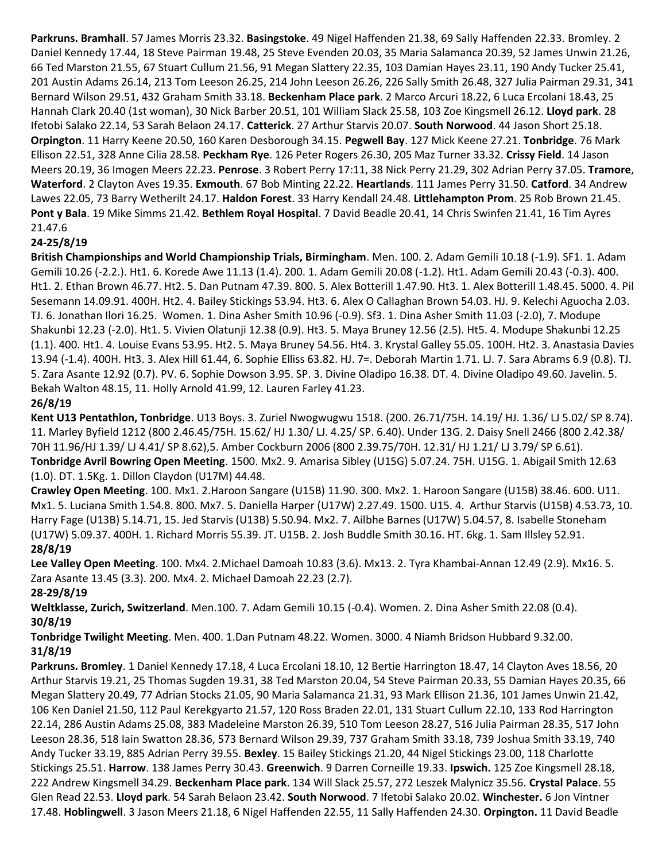**Parkruns. Bramhall**. 57 James Morris 23.32. **Basingstoke**. 49 Nigel Haffenden 21.38, 69 Sally Haffenden 22.33. Bromley. 2 Daniel Kennedy 17.44, 18 Steve Pairman 19.48, 25 Steve Evenden 20.03, 35 Maria Salamanca 20.39, 52 James Unwin 21.26, 66 Ted Marston 21.55, 67 Stuart Cullum 21.56, 91 Megan Slattery 22.35, 103 Damian Hayes 23.11, 190 Andy Tucker 25.41, 201 Austin Adams 26.14, 213 Tom Leeson 26.25, 214 John Leeson 26.26, 226 Sally Smith 26.48, 327 Julia Pairman 29.31, 341 Bernard Wilson 29.51, 432 Graham Smith 33.18. **Beckenham Place park**. 2 Marco Arcuri 18.22, 6 Luca Ercolani 18.43, 25 Hannah Clark 20.40 (1st woman), 30 Nick Barber 20.51, 101 William Slack 25.58, 103 Zoe Kingsmell 26.12. **Lloyd park**. 28 Ifetobi Salako 22.14, 53 Sarah Belaon 24.17. **Catterick**. 27 Arthur Starvis 20.07. **South Norwood**. 44 Jason Short 25.18. **Orpington**. 11 Harry Keene 20.50, 160 Karen Desborough 34.15. **Pegwell Bay**. 127 Mick Keene 27.21. **Tonbridge**. 76 Mark Ellison 22.51, 328 Anne Cilia 28.58. **Peckham Rye**. 126 Peter Rogers 26.30, 205 Maz Turner 33.32. **Crissy Field**. 14 Jason Meers 20.19, 36 Imogen Meers 22.23. **Penrose**. 3 Robert Perry 17:11, 38 Nick Perry 21.29, 302 Adrian Perry 37.05. **Tramore**, **Waterford**. 2 Clayton Aves 19.35. **Exmouth**. 67 Bob Minting 22.22. **Heartlands**. 111 James Perry 31.50. **Catford**. 34 Andrew Lawes 22.05, 73 Barry Wetherilt 24.17. **Haldon Forest**. 33 Harry Kendall 24.48. **Littlehampton Prom**. 25 Rob Brown 21.45. **Pont y Bala**. 19 Mike Simms 21.42. **Bethlem Royal Hospital**. 7 David Beadle 20.41, 14 Chris Swinfen 21.41, 16 Tim Ayres 21.47.6

# **24-25/8/19**

**British Championships and World Championship Trials, Birmingham**. Men. 100. 2. Adam Gemili 10.18 (-1.9). SF1. 1. Adam Gemili 10.26 (-2.2.). Ht1. 6. Korede Awe 11.13 (1.4). 200. 1. Adam Gemili 20.08 (-1.2). Ht1. Adam Gemili 20.43 (-0.3). 400. Ht1. 2. Ethan Brown 46.77. Ht2. 5. Dan Putnam 47.39. 800. 5. Alex Botterill 1.47.90. Ht3. 1. Alex Botterill 1.48.45. 5000. 4. Pil Sesemann 14.09.91. 400H. Ht2. 4. Bailey Stickings 53.94. Ht3. 6. Alex O Callaghan Brown 54.03. HJ. 9. Kelechi Aguocha 2.03. TJ. 6. Jonathan Ilori 16.25. Women. 1. Dina Asher Smith 10.96 (-0.9). Sf3. 1. Dina Asher Smith 11.03 (-2.0), 7. Modupe Shakunbi 12.23 (-2.0). Ht1. 5. Vivien Olatunji 12.38 (0.9). Ht3. 5. Maya Bruney 12.56 (2.5). Ht5. 4. Modupe Shakunbi 12.25 (1.1). 400. Ht1. 4. Louise Evans 53.95. Ht2. 5. Maya Bruney 54.56. Ht4. 3. Krystal Galley 55.05. 100H. Ht2. 3. Anastasia Davies 13.94 (-1.4). 400H. Ht3. 3. Alex Hill 61.44, 6. Sophie Elliss 63.82. HJ. 7=. Deborah Martin 1.71. LJ. 7. Sara Abrams 6.9 (0.8). TJ. 5. Zara Asante 12.92 (0.7). PV. 6. Sophie Dowson 3.95. SP. 3. Divine Oladipo 16.38. DT. 4. Divine Oladipo 49.60. Javelin. 5. Bekah Walton 48.15, 11. Holly Arnold 41.99, 12. Lauren Farley 41.23.

#### **26/8/19**

**Kent U13 Pentathlon, Tonbridge**. U13 Boys. 3. Zuriel Nwogwugwu 1518. (200. 26.71/75H. 14.19/ HJ. 1.36/ LJ 5.02/ SP 8.74). 11. Marley Byfield 1212 (800 2.46.45/75H. 15.62/ HJ 1.30/ LJ. 4.25/ SP. 6.40). Under 13G. 2. Daisy Snell 2466 (800 2.42.38/ 70H 11.96/HJ 1.39/ LJ 4.41/ SP 8.62),5. Amber Cockburn 2006 (800 2.39.75/70H. 12.31/ HJ 1.21/ LJ 3.79/ SP 6.61). **Tonbridge Avril Bowring Open Meeting**. 1500. Mx2. 9. Amarisa Sibley (U15G) 5.07.24. 75H. U15G. 1. Abigail Smith 12.63 (1.0). DT. 1.5Kg. 1. Dillon Claydon (U17M) 44.48.

**Crawley Open Meeting**. 100. Mx1. 2.Haroon Sangare (U15B) 11.90. 300. Mx2. 1. Haroon Sangare (U15B) 38.46. 600. U11. Mx1. 5. Luciana Smith 1.54.8. 800. Mx7. 5. Daniella Harper (U17W) 2.27.49. 1500. U15. 4. Arthur Starvis (U15B) 4.53.73, 10. Harry Fage (U13B) 5.14.71, 15. Jed Starvis (U13B) 5.50.94. Mx2. 7. Ailbhe Barnes (U17W) 5.04.57, 8. Isabelle Stoneham (U17W) 5.09.37. 400H. 1. Richard Morris 55.39. JT. U15B. 2. Josh Buddle Smith 30.16. HT. 6kg. 1. Sam Illsley 52.91. **28/8/19**

**Lee Valley Open Meeting**. 100. Mx4. 2.Michael Damoah 10.83 (3.6). Mx13. 2. Tyra Khambai-Annan 12.49 (2.9). Mx16. 5. Zara Asante 13.45 (3.3). 200. Mx4. 2. Michael Damoah 22.23 (2.7). **28-29/8/19**

**Weltklasse, Zurich, Switzerland**. Men.100. 7. Adam Gemili 10.15 (-0.4). Women. 2. Dina Asher Smith 22.08 (0.4). **30/8/19**

**Tonbridge Twilight Meeting**. Men. 400. 1.Dan Putnam 48.22. Women. 3000. 4 Niamh Bridson Hubbard 9.32.00. **31/8/19**

**Parkruns. Bromley**. 1 Daniel Kennedy 17.18, 4 Luca Ercolani 18.10, 12 Bertie Harrington 18.47, 14 Clayton Aves 18.56, 20 Arthur Starvis 19.21, 25 Thomas Sugden 19.31, 38 Ted Marston 20.04, 54 Steve Pairman 20.33, 55 Damian Hayes 20.35, 66 Megan Slattery 20.49, 77 Adrian Stocks 21.05, 90 Maria Salamanca 21.31, 93 Mark Ellison 21.36, 101 James Unwin 21.42, 106 Ken Daniel 21.50, 112 Paul Kerekgyarto 21.57, 120 Ross Braden 22.01, 131 Stuart Cullum 22.10, 133 Rod Harrington 22.14, 286 Austin Adams 25.08, 383 Madeleine Marston 26.39, 510 Tom Leeson 28.27, 516 Julia Pairman 28.35, 517 John Leeson 28.36, 518 Iain Swatton 28.36, 573 Bernard Wilson 29.39, 737 Graham Smith 33.18, 739 Joshua Smith 33.19, 740 Andy Tucker 33.19, 885 Adrian Perry 39.55. **Bexley**. 15 Bailey Stickings 21.20, 44 Nigel Stickings 23.00, 118 Charlotte Stickings 25.51. **Harrow**. 138 James Perry 30.43. **Greenwich**. 9 Darren Corneille 19.33. **Ipswich.** 125 Zoe Kingsmell 28.18, 222 Andrew Kingsmell 34.29. **Beckenham Place park**. 134 Will Slack 25.57, 272 Leszek Malynicz 35.56. **Crystal Palace**. 55 Glen Read 22.53. **Lloyd park**. 54 Sarah Belaon 23.42. **South Norwood**. 7 Ifetobi Salako 20.02. **Winchester.** 6 Jon Vintner 17.48. **Hoblingwell**. 3 Jason Meers 21.18, 6 Nigel Haffenden 22.55, 11 Sally Haffenden 24.30. **Orpington.** 11 David Beadle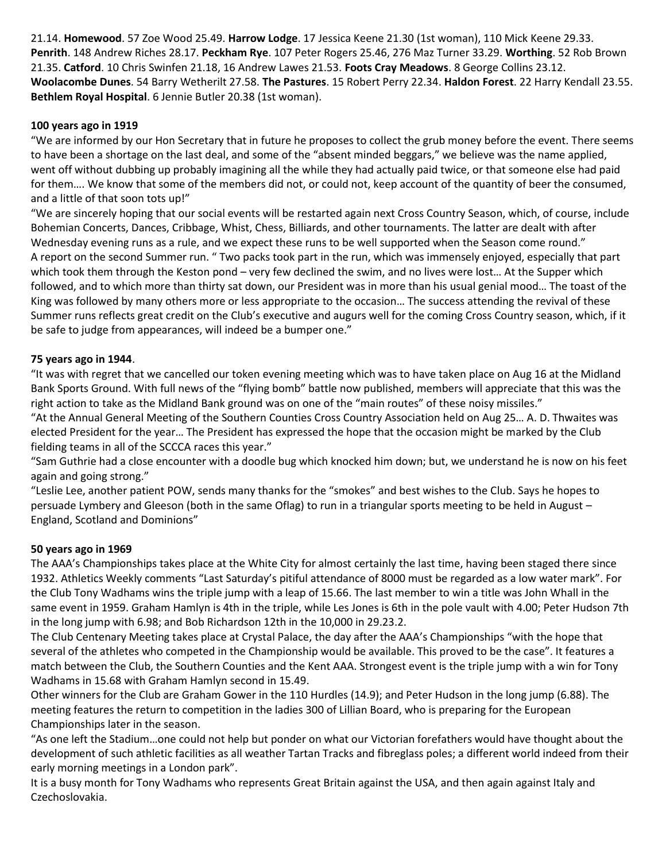21.14. **Homewood**. 57 Zoe Wood 25.49. **Harrow Lodge**. 17 Jessica Keene 21.30 (1st woman), 110 Mick Keene 29.33. **Penrith**. 148 Andrew Riches 28.17. **Peckham Rye**. 107 Peter Rogers 25.46, 276 Maz Turner 33.29. **Worthing**. 52 Rob Brown 21.35. **Catford**. 10 Chris Swinfen 21.18, 16 Andrew Lawes 21.53. **Foots Cray Meadows**. 8 George Collins 23.12. **Woolacombe Dunes**. 54 Barry Wetherilt 27.58. **The Pastures**. 15 Robert Perry 22.34. **Haldon Forest**. 22 Harry Kendall 23.55. **Bethlem Royal Hospital**. 6 Jennie Butler 20.38 (1st woman).

#### **100 years ago in 1919**

"We are informed by our Hon Secretary that in future he proposes to collect the grub money before the event. There seems to have been a shortage on the last deal, and some of the "absent minded beggars," we believe was the name applied, went off without dubbing up probably imagining all the while they had actually paid twice, or that someone else had paid for them…. We know that some of the members did not, or could not, keep account of the quantity of beer the consumed, and a little of that soon tots up!"

"We are sincerely hoping that our social events will be restarted again next Cross Country Season, which, of course, include Bohemian Concerts, Dances, Cribbage, Whist, Chess, Billiards, and other tournaments. The latter are dealt with after Wednesday evening runs as a rule, and we expect these runs to be well supported when the Season come round." A report on the second Summer run. " Two packs took part in the run, which was immensely enjoyed, especially that part which took them through the Keston pond – very few declined the swim, and no lives were lost… At the Supper which followed, and to which more than thirty sat down, our President was in more than his usual genial mood… The toast of the King was followed by many others more or less appropriate to the occasion… The success attending the revival of these Summer runs reflects great credit on the Club's executive and augurs well for the coming Cross Country season, which, if it be safe to judge from appearances, will indeed be a bumper one."

#### **75 years ago in 1944**.

"It was with regret that we cancelled our token evening meeting which was to have taken place on Aug 16 at the Midland Bank Sports Ground. With full news of the "flying bomb" battle now published, members will appreciate that this was the right action to take as the Midland Bank ground was on one of the "main routes" of these noisy missiles."

"At the Annual General Meeting of the Southern Counties Cross Country Association held on Aug 25… A. D. Thwaites was elected President for the year… The President has expressed the hope that the occasion might be marked by the Club fielding teams in all of the SCCCA races this year."

"Sam Guthrie had a close encounter with a doodle bug which knocked him down; but, we understand he is now on his feet again and going strong."

"Leslie Lee, another patient POW, sends many thanks for the "smokes" and best wishes to the Club. Says he hopes to persuade Lymbery and Gleeson (both in the same Oflag) to run in a triangular sports meeting to be held in August – England, Scotland and Dominions"

#### **50 years ago in 1969**

The AAA's Championships takes place at the White City for almost certainly the last time, having been staged there since 1932. Athletics Weekly comments "Last Saturday's pitiful attendance of 8000 must be regarded as a low water mark". For the Club Tony Wadhams wins the triple jump with a leap of 15.66. The last member to win a title was John Whall in the same event in 1959. Graham Hamlyn is 4th in the triple, while Les Jones is 6th in the pole vault with 4.00; Peter Hudson 7th in the long jump with 6.98; and Bob Richardson 12th in the 10,000 in 29.23.2.

The Club Centenary Meeting takes place at Crystal Palace, the day after the AAA's Championships "with the hope that several of the athletes who competed in the Championship would be available. This proved to be the case". It features a match between the Club, the Southern Counties and the Kent AAA. Strongest event is the triple jump with a win for Tony Wadhams in 15.68 with Graham Hamlyn second in 15.49.

Other winners for the Club are Graham Gower in the 110 Hurdles (14.9); and Peter Hudson in the long jump (6.88). The meeting features the return to competition in the ladies 300 of Lillian Board, who is preparing for the European Championships later in the season.

"As one left the Stadium…one could not help but ponder on what our Victorian forefathers would have thought about the development of such athletic facilities as all weather Tartan Tracks and fibreglass poles; a different world indeed from their early morning meetings in a London park".

It is a busy month for Tony Wadhams who represents Great Britain against the USA, and then again against Italy and Czechoslovakia.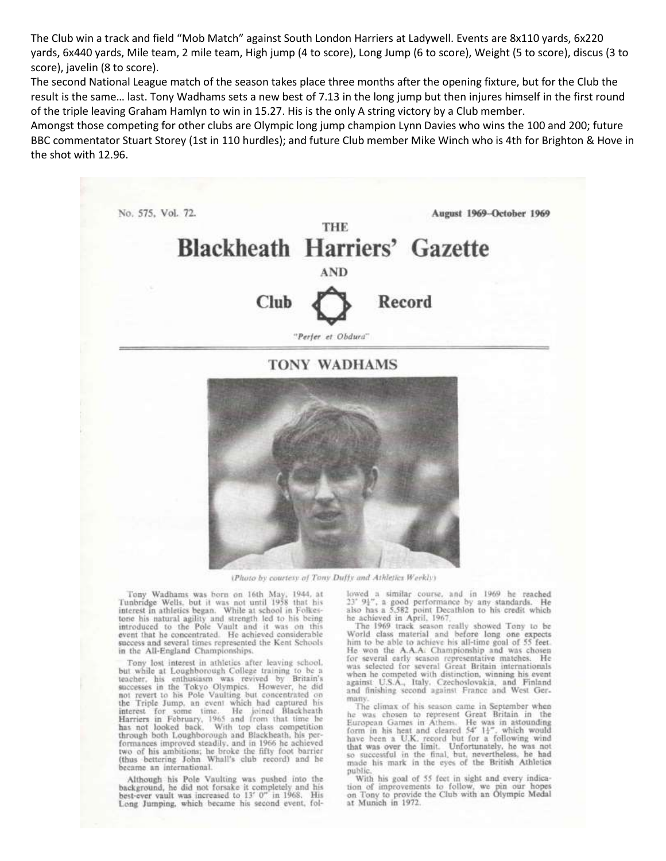The Club win a track and field "Mob Match" against South London Harriers at Ladywell. Events are 8x110 yards, 6x220 yards, 6x440 yards, Mile team, 2 mile team, High jump (4 to score), Long Jump (6 to score), Weight (5 to score), discus (3 to score), javelin (8 to score).

The second National League match of the season takes place three months after the opening fixture, but for the Club the result is the same… last. Tony Wadhams sets a new best of 7.13 in the long jump but then injures himself in the first round of the triple leaving Graham Hamlyn to win in 15.27. His is the only A string victory by a Club member.

Amongst those competing for other clubs are Olympic long jump champion Lynn Davies who wins the 100 and 200; future BBC commentator Stuart Storey (1st in 110 hurdles); and future Club member Mike Winch who is 4th for Brighton & Hove in the shot with 12.96.



(Photo by courtesy of Tony Duffy and Athletics Weekly)

Tony Wadhams was born on 16th May, 1944, at Tunbridge Wells, but it was not until 1958 that his interest in athletics began. While at school in Folkestone his natural agility and strength led to his being introduced to the Pole Vault and it was on this event that he concentrated. He achieved considerable success and several times represented the Kent Schools in the All-England Championships.

Tony lost interest in athletics after leaving school, Form lost interest in athletics after leaving school.<br>but while at Longhborough College training to be a<br>teacher, his enthusiasm was revived by Britain's<br>successes in the Tokyo Olympics. However, he did<br>not revert to his P formances improved steadily, and in 1966 he achieved two of his ambitions; he broke the fifty foot barrier<br>(thus bettering John Whall's club record) and he became an international.

Although his Pole Vaulting was pushed into the background, he did not forsake it completely and his best-ever vault was increased to 13' 0" in 1968. His Long Jumping, which became his second event, followed a similar course, and in 1969 he reached<br>23' 94", a good performance by any standards. He<br>also has a 5.582 point Decathlon to his credit which<br>he achieved in April, 1967.

The 1969 track season really showed Tony to be<br>World class material and before long one expects him to be able to achieve his all-time goal of 55 feet. He won the A.A.A: Championship and was chosen<br>for several early season representative matches. He<br>was selected for several Great Britain internationals when he competed with distinction, winning his event against U.S.A., Italy, Czechoslovakia, and Finland and finishing second against France and West Germany

The climax of his season came in September when he was chosen to represent Great Britain in Furopean Games in Athens. He was in astounding<br>form in his heat and cleared 54' 14", which would<br>have been a U.K. record but for a following wind<br>that was over the limit. Unfortunately, he was not<br>so successful in the fina made his mark in the eyes of the British Athletics public.

With his goal of 55 feet in sight and every indication of improvements to follow, we pin our hopes on Tony to provide the Club with an Olympic Medal at Munich in 1972.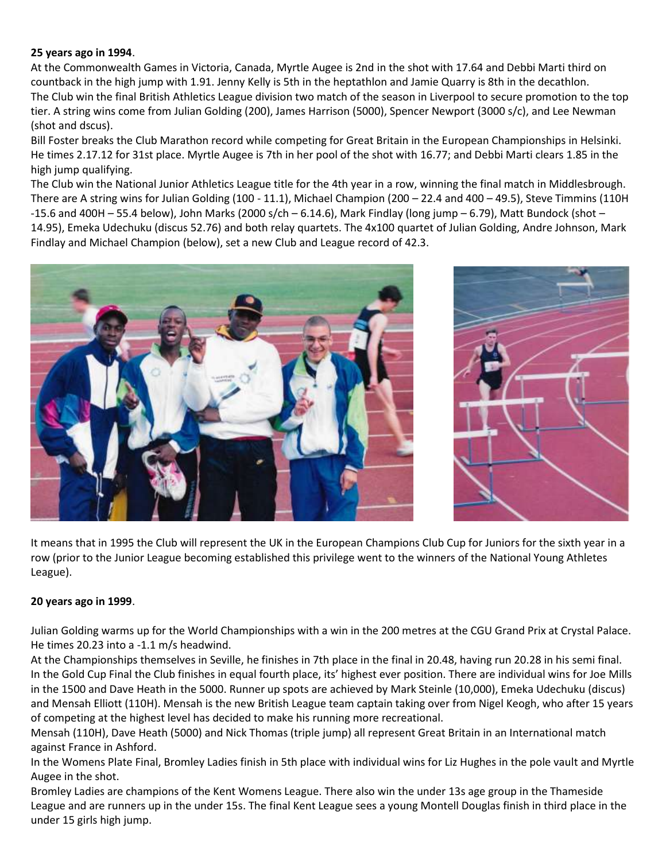# **25 years ago in 1994**.

At the Commonwealth Games in Victoria, Canada, Myrtle Augee is 2nd in the shot with 17.64 and Debbi Marti third on countback in the high jump with 1.91. Jenny Kelly is 5th in the heptathlon and Jamie Quarry is 8th in the decathlon. The Club win the final British Athletics League division two match of the season in Liverpool to secure promotion to the top tier. A string wins come from Julian Golding (200), James Harrison (5000), Spencer Newport (3000 s/c), and Lee Newman (shot and dscus).

Bill Foster breaks the Club Marathon record while competing for Great Britain in the European Championships in Helsinki. He times 2.17.12 for 31st place. Myrtle Augee is 7th in her pool of the shot with 16.77; and Debbi Marti clears 1.85 in the high jump qualifying.

The Club win the National Junior Athletics League title for the 4th year in a row, winning the final match in Middlesbrough. There are A string wins for Julian Golding (100 - 11.1), Michael Champion (200 – 22.4 and 400 – 49.5), Steve Timmins (110H -15.6 and 400H – 55.4 below), John Marks (2000 s/ch – 6.14.6), Mark Findlay (long jump – 6.79), Matt Bundock (shot – 14.95), Emeka Udechuku (discus 52.76) and both relay quartets. The 4x100 quartet of Julian Golding, Andre Johnson, Mark Findlay and Michael Champion (below), set a new Club and League record of 42.3.





It means that in 1995 the Club will represent the UK in the European Champions Club Cup for Juniors for the sixth year in a row (prior to the Junior League becoming established this privilege went to the winners of the National Young Athletes League).

#### **20 years ago in 1999**.

Julian Golding warms up for the World Championships with a win in the 200 metres at the CGU Grand Prix at Crystal Palace. He times 20.23 into a -1.1 m/s headwind.

At the Championships themselves in Seville, he finishes in 7th place in the final in 20.48, having run 20.28 in his semi final. In the Gold Cup Final the Club finishes in equal fourth place, its' highest ever position. There are individual wins for Joe Mills in the 1500 and Dave Heath in the 5000. Runner up spots are achieved by Mark Steinle (10,000), Emeka Udechuku (discus) and Mensah Elliott (110H). Mensah is the new British League team captain taking over from Nigel Keogh, who after 15 years of competing at the highest level has decided to make his running more recreational.

Mensah (110H), Dave Heath (5000) and Nick Thomas (triple jump) all represent Great Britain in an International match against France in Ashford.

In the Womens Plate Final, Bromley Ladies finish in 5th place with individual wins for Liz Hughes in the pole vault and Myrtle Augee in the shot.

Bromley Ladies are champions of the Kent Womens League. There also win the under 13s age group in the Thameside League and are runners up in the under 15s. The final Kent League sees a young Montell Douglas finish in third place in the under 15 girls high jump.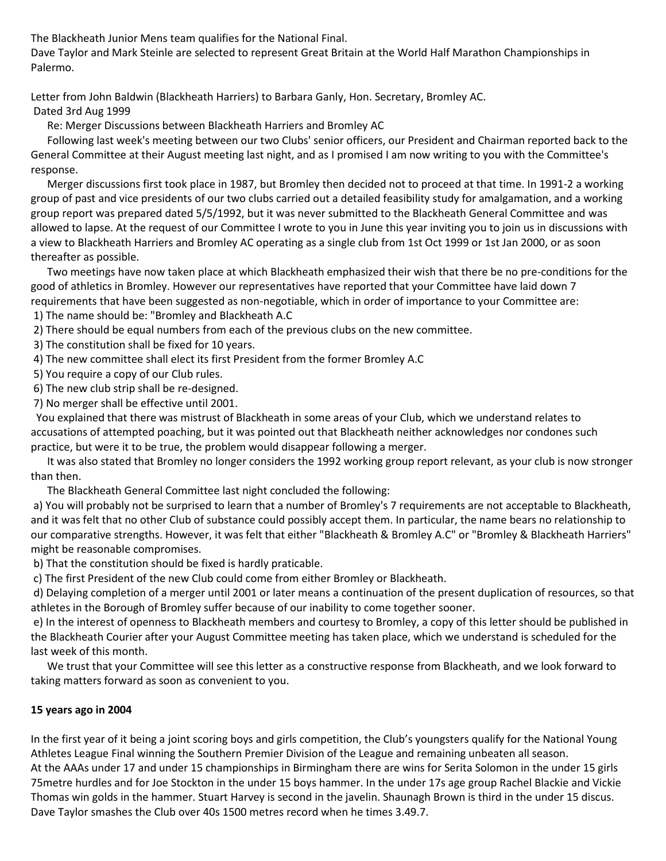The Blackheath Junior Mens team qualifies for the National Final.

Dave Taylor and Mark Steinle are selected to represent Great Britain at the World Half Marathon Championships in Palermo.

Letter from John Baldwin (Blackheath Harriers) to Barbara Ganly, Hon. Secretary, Bromley AC. Dated 3rd Aug 1999

Re: Merger Discussions between Blackheath Harriers and Bromley AC

 Following last week's meeting between our two Clubs' senior officers, our President and Chairman reported back to the General Committee at their August meeting last night, and as I promised I am now writing to you with the Committee's response.

 Merger discussions first took place in 1987, but Bromley then decided not to proceed at that time. In 1991-2 a working group of past and vice presidents of our two clubs carried out a detailed feasibility study for amalgamation, and a working group report was prepared dated 5/5/1992, but it was never submitted to the Blackheath General Committee and was allowed to lapse. At the request of our Committee I wrote to you in June this year inviting you to join us in discussions with a view to Blackheath Harriers and Bromley AC operating as a single club from 1st Oct 1999 or 1st Jan 2000, or as soon thereafter as possible.

 Two meetings have now taken place at which Blackheath emphasized their wish that there be no pre-conditions for the good of athletics in Bromley. However our representatives have reported that your Committee have laid down 7 requirements that have been suggested as non-negotiable, which in order of importance to your Committee are:

1) The name should be: "Bromley and Blackheath A.C

2) There should be equal numbers from each of the previous clubs on the new committee.

- 3) The constitution shall be fixed for 10 years.
- 4) The new committee shall elect its first President from the former Bromley A.C
- 5) You require a copy of our Club rules.
- 6) The new club strip shall be re-designed.
- 7) No merger shall be effective until 2001.

 You explained that there was mistrust of Blackheath in some areas of your Club, which we understand relates to accusations of attempted poaching, but it was pointed out that Blackheath neither acknowledges nor condones such practice, but were it to be true, the problem would disappear following a merger.

 It was also stated that Bromley no longer considers the 1992 working group report relevant, as your club is now stronger than then.

The Blackheath General Committee last night concluded the following:

a) You will probably not be surprised to learn that a number of Bromley's 7 requirements are not acceptable to Blackheath, and it was felt that no other Club of substance could possibly accept them. In particular, the name bears no relationship to our comparative strengths. However, it was felt that either "Blackheath & Bromley A.C" or "Bromley & Blackheath Harriers" might be reasonable compromises.

b) That the constitution should be fixed is hardly praticable.

c) The first President of the new Club could come from either Bromley or Blackheath.

d) Delaying completion of a merger until 2001 or later means a continuation of the present duplication of resources, so that athletes in the Borough of Bromley suffer because of our inability to come together sooner.

e) In the interest of openness to Blackheath members and courtesy to Bromley, a copy of this letter should be published in the Blackheath Courier after your August Committee meeting has taken place, which we understand is scheduled for the last week of this month.

 We trust that your Committee will see this letter as a constructive response from Blackheath, and we look forward to taking matters forward as soon as convenient to you.

# **15 years ago in 2004**

In the first year of it being a joint scoring boys and girls competition, the Club's youngsters qualify for the National Young Athletes League Final winning the Southern Premier Division of the League and remaining unbeaten all season. At the AAAs under 17 and under 15 championships in Birmingham there are wins for Serita Solomon in the under 15 girls 75metre hurdles and for Joe Stockton in the under 15 boys hammer. In the under 17s age group Rachel Blackie and Vickie Thomas win golds in the hammer. Stuart Harvey is second in the javelin. Shaunagh Brown is third in the under 15 discus. Dave Taylor smashes the Club over 40s 1500 metres record when he times 3.49.7.